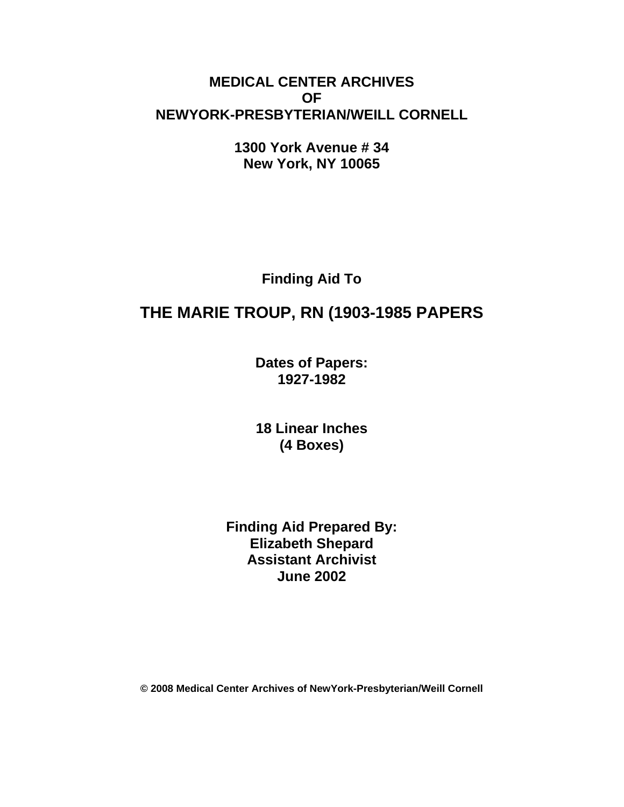## **MEDICAL CENTER ARCHIVES OF NEWYORK-PRESBYTERIAN/WEILL CORNELL**

**1300 York Avenue # 34 New York, NY 10065** 

**Finding Aid To** 

# **THE MARIE TROUP, RN (1903-1985 PAPERS**

**Dates of Papers: 1927-1982**

**18 Linear Inches (4 Boxes)** 

**Finding Aid Prepared By: Elizabeth Shepard Assistant Archivist June 2002** 

**© 2008 Medical Center Archives of NewYork-Presbyterian/Weill Cornell**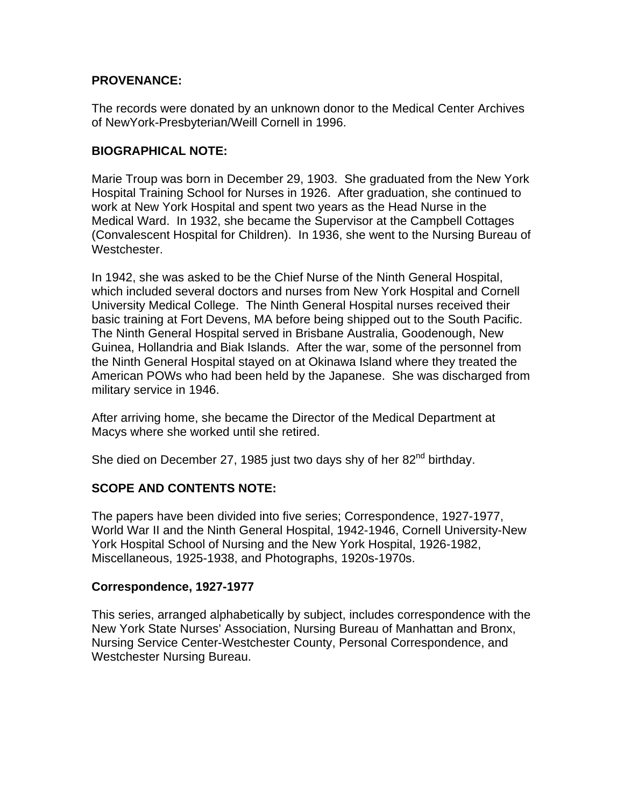### **PROVENANCE:**

The records were donated by an unknown donor to the Medical Center Archives of NewYork-Presbyterian/Weill Cornell in 1996.

#### **BIOGRAPHICAL NOTE:**

Marie Troup was born in December 29, 1903. She graduated from the New York Hospital Training School for Nurses in 1926. After graduation, she continued to work at New York Hospital and spent two years as the Head Nurse in the Medical Ward. In 1932, she became the Supervisor at the Campbell Cottages (Convalescent Hospital for Children). In 1936, she went to the Nursing Bureau of Westchester.

In 1942, she was asked to be the Chief Nurse of the Ninth General Hospital, which included several doctors and nurses from New York Hospital and Cornell University Medical College. The Ninth General Hospital nurses received their basic training at Fort Devens, MA before being shipped out to the South Pacific. The Ninth General Hospital served in Brisbane Australia, Goodenough, New Guinea, Hollandria and Biak Islands. After the war, some of the personnel from the Ninth General Hospital stayed on at Okinawa Island where they treated the American POWs who had been held by the Japanese. She was discharged from military service in 1946.

After arriving home, she became the Director of the Medical Department at Macys where she worked until she retired.

She died on December 27, 1985 just two days shy of her 82<sup>nd</sup> birthday.

## **SCOPE AND CONTENTS NOTE:**

The papers have been divided into five series; Correspondence, 1927-1977, World War II and the Ninth General Hospital, 1942-1946, Cornell University-New York Hospital School of Nursing and the New York Hospital, 1926-1982, Miscellaneous, 1925-1938, and Photographs, 1920s-1970s.

#### **Correspondence, 1927-1977**

This series, arranged alphabetically by subject, includes correspondence with the New York State Nurses' Association, Nursing Bureau of Manhattan and Bronx, Nursing Service Center-Westchester County, Personal Correspondence, and Westchester Nursing Bureau.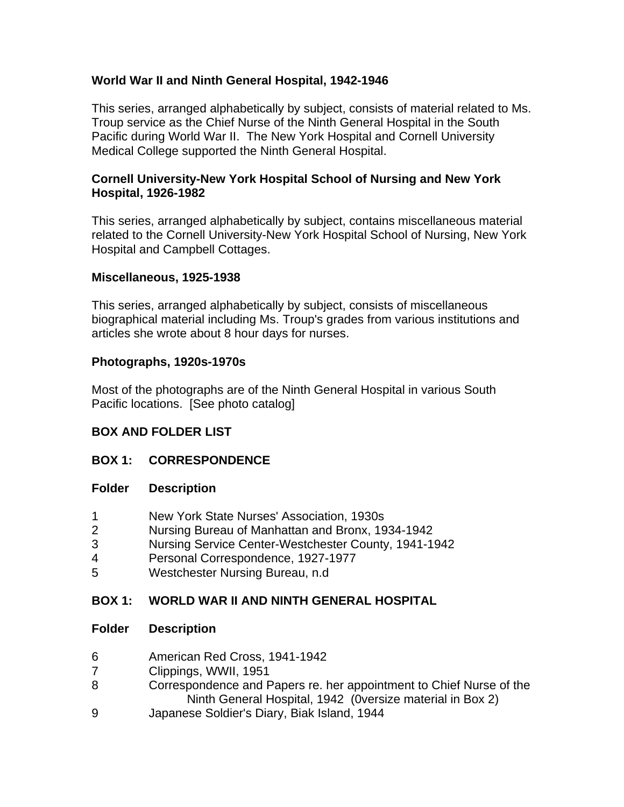### **World War II and Ninth General Hospital, 1942-1946**

This series, arranged alphabetically by subject, consists of material related to Ms. Troup service as the Chief Nurse of the Ninth General Hospital in the South Pacific during World War II. The New York Hospital and Cornell University Medical College supported the Ninth General Hospital.

#### **Cornell University-New York Hospital School of Nursing and New York Hospital, 1926-1982**

This series, arranged alphabetically by subject, contains miscellaneous material related to the Cornell University-New York Hospital School of Nursing, New York Hospital and Campbell Cottages.

#### **Miscellaneous, 1925-1938**

This series, arranged alphabetically by subject, consists of miscellaneous biographical material including Ms. Troup's grades from various institutions and articles she wrote about 8 hour days for nurses.

### **Photographs, 1920s-1970s**

Most of the photographs are of the Ninth General Hospital in various South Pacific locations. [See photo catalog]

## **BOX AND FOLDER LIST**

## **BOX 1: CORRESPONDENCE**

#### **Folder Description**

- 1 New York State Nurses' Association, 1930s
- 2 Nursing Bureau of Manhattan and Bronx, 1934-1942
- 3 Nursing Service Center-Westchester County, 1941-1942
- 4 Personal Correspondence, 1927-1977
- 5 Westchester Nursing Bureau, n.d

## **BOX 1: WORLD WAR II AND NINTH GENERAL HOSPITAL**

#### **Folder Description**

- 6 American Red Cross, 1941-1942
- 7 Clippings, WWII, 1951
- 8 Correspondence and Papers re. her appointment to Chief Nurse of the Ninth General Hospital, 1942 (0versize material in Box 2)
- 9 Japanese Soldier's Diary, Biak Island, 1944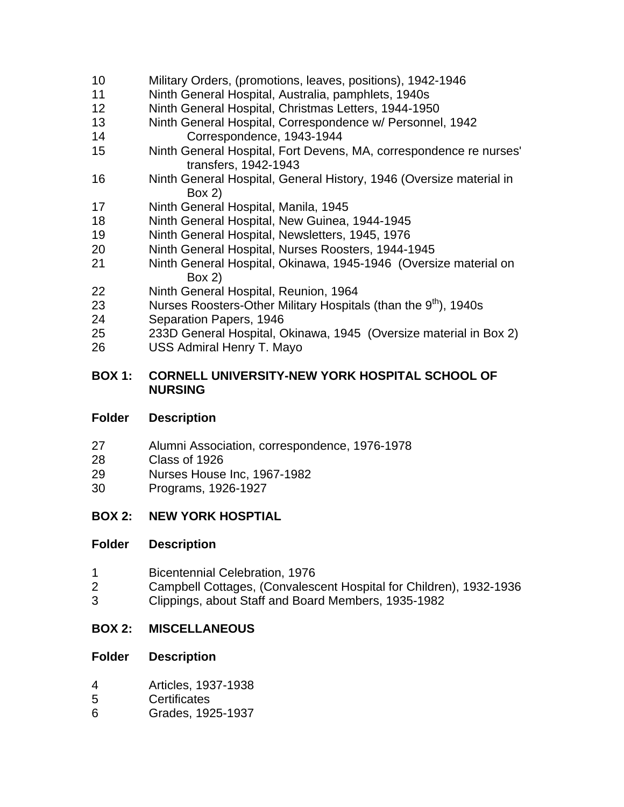- 10 Military Orders, (promotions, leaves, positions), 1942-1946
- 11 Ninth General Hospital, Australia, pamphlets, 1940s
- 12 Ninth General Hospital, Christmas Letters, 1944-1950
- 13 Ninth General Hospital, Correspondence w/ Personnel, 1942
- Correspondence, 1943-1944
- 15 Ninth General Hospital, Fort Devens, MA, correspondence re nurses' transfers, 1942-1943
- 16 Ninth General Hospital, General History, 1946 (Oversize material in Box 2)
- 17 Ninth General Hospital, Manila, 1945
- 18 Ninth General Hospital, New Guinea, 1944-1945
- 19 Ninth General Hospital, Newsletters, 1945, 1976
- 20 Ninth General Hospital, Nurses Roosters, 1944-1945
- 21 Ninth General Hospital, Okinawa, 1945-1946 (Oversize material on Box 2)
- 22 Ninth General Hospital, Reunion, 1964
- 23 Nurses Roosters-Other Military Hospitals (than the  $9<sup>th</sup>$ ), 1940s
- 24 Separation Papers, 1946
- 25 233D General Hospital, Okinawa, 1945 (Oversize material in Box 2)
- 26 USS Admiral Henry T. Mayo

#### **BOX 1: CORNELL UNIVERSITY-NEW YORK HOSPITAL SCHOOL OF NURSING**

#### **Folder Description**

- 27 Alumni Association, correspondence, 1976-1978
- 28 Class of 1926
- 29 Nurses House Inc, 1967-1982
- 30 Programs, 1926-1927

## **BOX 2: NEW YORK HOSPTIAL**

#### **Folder Description**

- 1 Bicentennial Celebration, 1976
- 2 Campbell Cottages, (Convalescent Hospital for Children), 1932-1936
- 3 Clippings, about Staff and Board Members, 1935-1982

## **BOX 2: MISCELLANEOUS**

#### **Folder Description**

- 4 Articles, 1937-1938
- 5 Certificates
- 6 Grades, 1925-1937